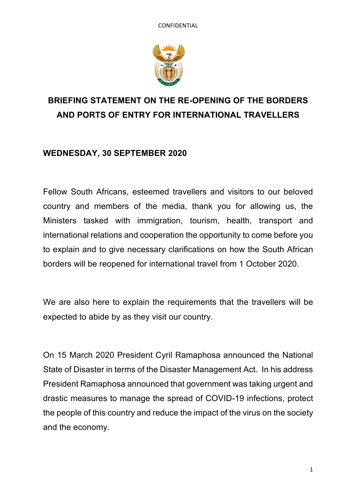

# **BRIEFING STATEMENT ON THE RE-OPENING OF THE BORDERS AND PORTS OF ENTRY FOR INTERNATIONAL TRAVELLERS**

## **WEDNESDAY, 30 SEPTEMBER 2020**

Fellow South Africans, esteemed travellers and visitors to our beloved country and members of the media, thank you for allowing us, the Ministers tasked with immigration, tourism, health, transport and international relations and cooperation the opportunity to come before you to explain and to give necessary clarifications on how the South African borders will be reopened for international travel from 1 October 2020.

We are also here to explain the requirements that the travellers will be expected to abide by as they visit our country.

On 15 March 2020 President Cyril Ramaphosa announced the National State of Disaster in terms of the Disaster Management Act. In his address President Ramaphosa announced that government was taking urgent and drastic measures to manage the spread of COVID-19 infections, protect the people of this country and reduce the impact of the virus on the society and the economy.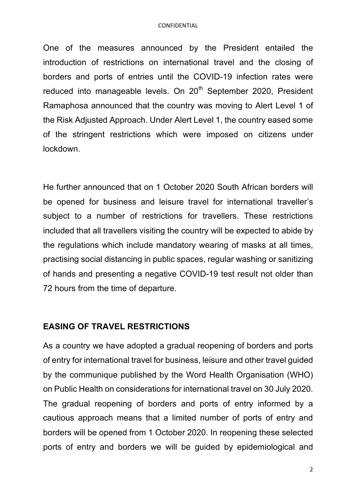One of the measures announced by the President entailed the introduction of restrictions on international travel and the closing of borders and ports of entries until the COVID-19 infection rates were reduced into manageable levels. On 20<sup>th</sup> September 2020, President Ramaphosa announced that the country was moving to Alert Level 1 of the Risk Adjusted Approach. Under Alert Level 1, the country eased some of the stringent restrictions which were imposed on citizens under lockdown.

He further announced that on 1 October 2020 South African borders will be opened for business and leisure travel for international traveller's subject to a number of restrictions for travellers. These restrictions included that all travellers visiting the country will be expected to abide by the regulations which include mandatory wearing of masks at all times, practising social distancing in public spaces, regular washing or sanitizing of hands and presenting a negative COVID-19 test result not older than 72 hours from the time of departure.

#### **EASING OF TRAVEL RESTRICTIONS**

As a country we have adopted a gradual reopening of borders and ports of entry for international travel for business, leisure and other travel guided by the communique published by the Word Health Organisation (WHO) on Public Health on considerations for international travel on 30 July 2020. The gradual reopening of borders and ports of entry informed by a cautious approach means that a limited number of ports of entry and borders will be opened from 1 October 2020. In reopening these selected ports of entry and borders we will be guided by epidemiological and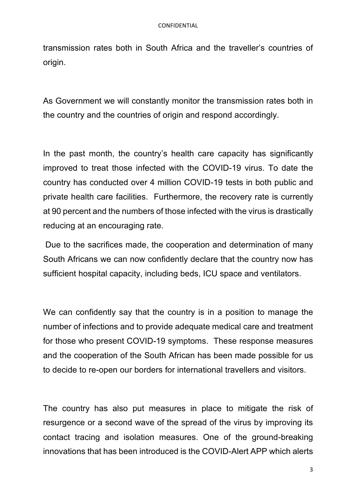transmission rates both in South Africa and the traveller's countries of origin.

As Government we will constantly monitor the transmission rates both in the country and the countries of origin and respond accordingly.

In the past month, the country's health care capacity has significantly improved to treat those infected with the COVID-19 virus. To date the country has conducted over 4 million COVID-19 tests in both public and private health care facilities. Furthermore, the recovery rate is currently at 90 percent and the numbers of those infected with the virus is drastically reducing at an encouraging rate.

Due to the sacrifices made, the cooperation and determination of many South Africans we can now confidently declare that the country now has sufficient hospital capacity, including beds, ICU space and ventilators.

We can confidently say that the country is in a position to manage the number of infections and to provide adequate medical care and treatment for those who present COVID-19 symptoms. These response measures and the cooperation of the South African has been made possible for us to decide to re-open our borders for international travellers and visitors.

The country has also put measures in place to mitigate the risk of resurgence or a second wave of the spread of the virus by improving its contact tracing and isolation measures. One of the ground-breaking innovations that has been introduced is the COVID-Alert APP which alerts

3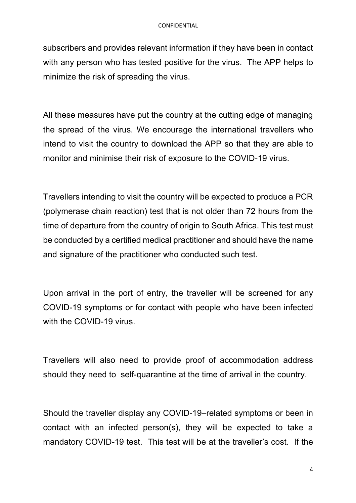subscribers and provides relevant information if they have been in contact with any person who has tested positive for the virus. The APP helps to minimize the risk of spreading the virus.

All these measures have put the country at the cutting edge of managing the spread of the virus. We encourage the international travellers who intend to visit the country to download the APP so that they are able to monitor and minimise their risk of exposure to the COVID-19 virus.

Travellers intending to visit the country will be expected to produce a PCR (polymerase chain reaction) test that is not older than 72 hours from the time of departure from the country of origin to South Africa. This test must be conducted by a certified medical practitioner and should have the name and signature of the practitioner who conducted such test.

Upon arrival in the port of entry, the traveller will be screened for any COVID-19 symptoms or for contact with people who have been infected with the COVID-19 virus.

Travellers will also need to provide proof of accommodation address should they need to self-quarantine at the time of arrival in the country.

Should the traveller display any COVID-19–related symptoms or been in contact with an infected person(s), they will be expected to take a mandatory COVID-19 test. This test will be at the traveller's cost. If the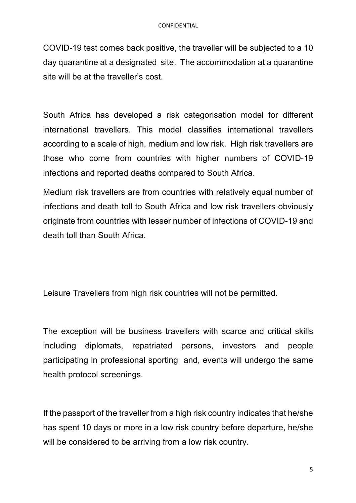COVID-19 test comes back positive, the traveller will be subjected to a 10 day quarantine at a designated site. The accommodation at a quarantine site will be at the traveller's cost.

South Africa has developed a risk categorisation model for different international travellers. This model classifies international travellers according to a scale of high, medium and low risk. High risk travellers are those who come from countries with higher numbers of COVID-19 infections and reported deaths compared to South Africa.

Medium risk travellers are from countries with relatively equal number of infections and death toll to South Africa and low risk travellers obviously originate from countries with lesser number of infections of COVID-19 and death toll than South Africa.

Leisure Travellers from high risk countries will not be permitted.

The exception will be business travellers with scarce and critical skills including diplomats, repatriated persons, investors and people participating in professional sporting and, events will undergo the same health protocol screenings.

If the passport of the traveller from a high risk country indicates that he/she has spent 10 days or more in a low risk country before departure, he/she will be considered to be arriving from a low risk country.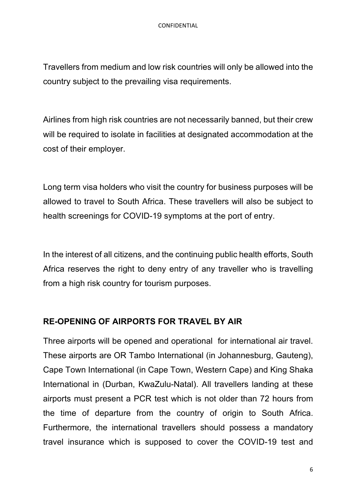Travellers from medium and low risk countries will only be allowed into the country subject to the prevailing visa requirements.

Airlines from high risk countries are not necessarily banned, but their crew will be required to isolate in facilities at designated accommodation at the cost of their employer.

Long term visa holders who visit the country for business purposes will be allowed to travel to South Africa. These travellers will also be subject to health screenings for COVID-19 symptoms at the port of entry.

In the interest of all citizens, and the continuing public health efforts, South Africa reserves the right to deny entry of any traveller who is travelling from a high risk country for tourism purposes.

## **RE-OPENING OF AIRPORTS FOR TRAVEL BY AIR**

Three airports will be opened and operational for international air travel. These airports are OR Tambo International (in Johannesburg, Gauteng), Cape Town International (in Cape Town, Western Cape) and King Shaka International in (Durban, KwaZulu-Natal). All travellers landing at these airports must present a PCR test which is not older than 72 hours from the time of departure from the country of origin to South Africa. Furthermore, the international travellers should possess a mandatory travel insurance which is supposed to cover the COVID-19 test and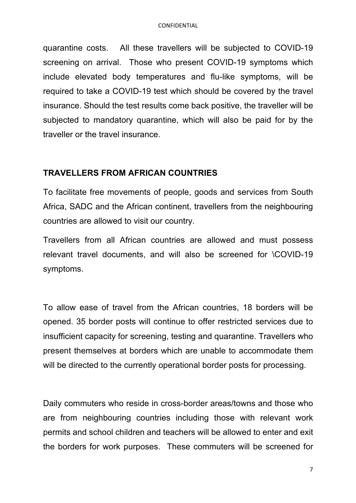quarantine costs. All these travellers will be subjected to COVID-19 screening on arrival. Those who present COVID-19 symptoms which include elevated body temperatures and flu-like symptoms, will be required to take a COVID-19 test which should be covered by the travel insurance. Should the test results come back positive, the traveller will be subjected to mandatory quarantine, which will also be paid for by the traveller or the travel insurance.

#### **TRAVELLERS FROM AFRICAN COUNTRIES**

To facilitate free movements of people, goods and services from South Africa, SADC and the African continent, travellers from the neighbouring countries are allowed to visit our country.

Travellers from all African countries are allowed and must possess relevant travel documents, and will also be screened for \COVID-19 symptoms.

To allow ease of travel from the African countries, 18 borders will be opened. 35 border posts will continue to offer restricted services due to insufficient capacity for screening, testing and quarantine. Travellers who present themselves at borders which are unable to accommodate them will be directed to the currently operational border posts for processing.

Daily commuters who reside in cross-border areas/towns and those who are from neighbouring countries including those with relevant work permits and school children and teachers will be allowed to enter and exit the borders for work purposes. These commuters will be screened for